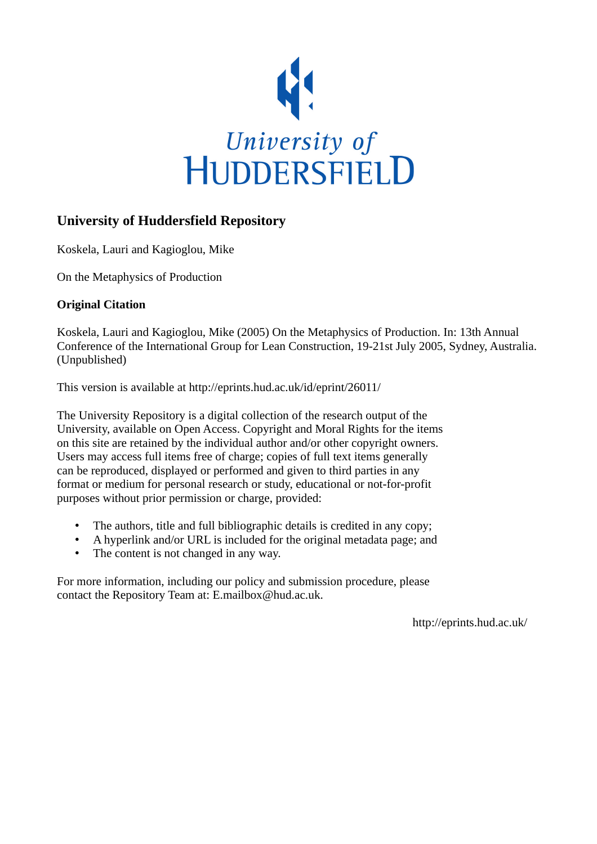

# **University of Huddersfield Repository**

Koskela, Lauri and Kagioglou, Mike

On the Metaphysics of Production

# **Original Citation**

Koskela, Lauri and Kagioglou, Mike (2005) On the Metaphysics of Production. In: 13th Annual Conference of the International Group for Lean Construction, 19-21st July 2005, Sydney, Australia. (Unpublished)

This version is available at http://eprints.hud.ac.uk/id/eprint/26011/

The University Repository is a digital collection of the research output of the University, available on Open Access. Copyright and Moral Rights for the items on this site are retained by the individual author and/or other copyright owners. Users may access full items free of charge; copies of full text items generally can be reproduced, displayed or performed and given to third parties in any format or medium for personal research or study, educational or not-for-profit purposes without prior permission or charge, provided:

- The authors, title and full bibliographic details is credited in any copy;
- A hyperlink and/or URL is included for the original metadata page; and
- The content is not changed in any way.

For more information, including our policy and submission procedure, please contact the Repository Team at: E.mailbox@hud.ac.uk.

http://eprints.hud.ac.uk/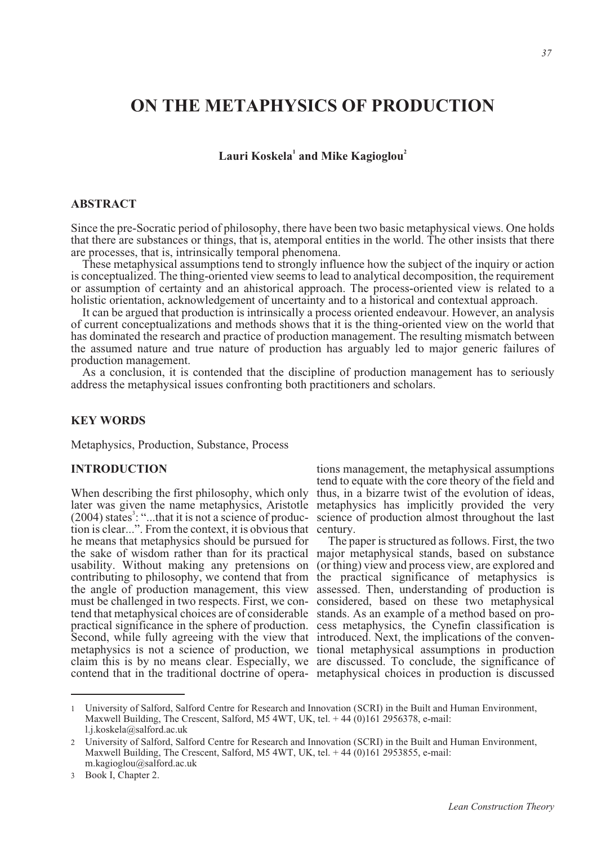# **ON THE METAPHYSICS OF PRODUCTION**

 $L$ auri Koskela $^1$  and Mike Kagioglou $^2$ 

# **ABSTRACT**

Since the pre-Socratic period of philosophy, there have been two basic metaphysical views. One holds that there are substances or things, that is, atemporal entities in the world. The other insists that there are processes, that is, intrinsically temporal phenomena.

These metaphysical assumptions tend to strongly influence how the subject of the inquiry or action is conceptualized. The thing-oriented view seems to lead to analytical decomposition, the requirement or assumption of certainty and an ahistorical approach. The process-oriented view is related to a holistic orientation, acknowledgement of uncertainty and to a historical and contextual approach.

It can be argued that production is intrinsically a process oriented endeavour. However, an analysis of current conceptualizations and methods shows that it is the thing-oriented view on the world that has dominated the research and practice of production management. The resulting mismatch between the assumed nature and true nature of production has arguably led to major generic failures of production management.

As a conclusion, it is contended that the discipline of production management has to seriously address the metaphysical issues confronting both practitioners and scholars.

# **KEY WORDS**

Metaphysics, Production, Substance, Process

### **INTRODUCTION**

When describing the first philosophy, which only later was given the name metaphysics, Aristotle metaphysics has implicitly provided the very  $(2004)$  states<sup>3</sup>: "...that it is not a science of production is clear...". From the context, it is obvious that he means that metaphysics should be pursued for the sake of wisdom rather than for its practical major metaphysical stands, based on substance usability. Without making any pretensions on (or thing) view and process view, are explored and contributing to philosophy, we contend that from the practical significance of metaphysics is the angle of production management, this view assessed. Then, understanding of production is must be challenged in two respects. First, we con-considered, based on these two metaphysical tend that metaphysical choices are of considerable stands. As an example of a method based on propractical significance in the sphere of production. cess metaphysics, the Cynefin classification is Second, while fully agreeing with the view that introduced. Next, the implications of the convenmetaphysics is not a science of production, we tional metaphysical assumptions in production claim this is by no means clear. Especially, we are discussed. To conclude, the significance of contend that in the traditional doctrine of opera-metaphysical choices in production is discussed

tions management, the metaphysical assumptions tend to equate with the core theory of the field and thus, in a bizarre twist of the evolution of ideas, science of production almost throughout the last century.

The paper is structured as follows. First, the two

<sup>1</sup> University of Salford, Salford Centre for Research and Innovation (SCRI) in the Built and Human Environment, Maxwell Building, The Crescent, Salford, M5 4WT, UK, tel. + 44 (0)161 2956378, e-mail: l.j.koskela@salford.ac.uk

<sup>2</sup> University of Salford, Salford Centre for Research and Innovation (SCRI) in the Built and Human Environment, Maxwell Building, The Crescent, Salford, M5 4WT, UK, tel. +44 (0)161 2953855, e-mail: m.kagioglou@salford.ac.uk

<sup>3</sup> Book I, Chapter 2.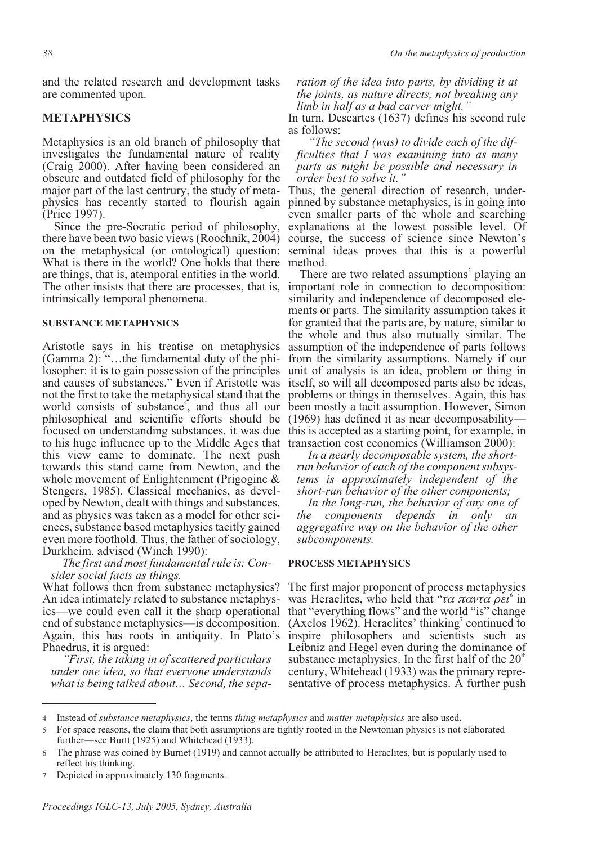and the related research and development tasks are commented upon.

# **METAPHYSICS**

Metaphysics is an old branch of philosophy that investigates the fundamental nature of reality (Craig 2000). After having been considered an obscure and outdated field of philosophy for the physics has recently started to flourish again (Price 1997).

Since the pre-Socratic period of philosophy, there have been two basic views (Roochnik, 2004) on the metaphysical (or ontological) question: What is there in the world? One holds that there are things, that is, atemporal entities in the world. The other insists that there are processes, that is, important role in connection to decomposition: intrinsically temporal phenomena.

#### **SUBSTANCE METAPHYSICS**

Aristotle says in his treatise on metaphysics (Gamma 2): "…the fundamental duty of the philosopher: it is to gain possession of the principles and causes of substances." Even if Aristotle was not the first to take the metaphysical stand that the world consists of substance, and thus all our philosophical and scientific efforts should be focused on understanding substances, it was due to his huge influence up to the Middle Ages that this view came to dominate. The next push towards this stand came from Newton, and the whole movement of Enlightenment (Prigogine & Stengers, 1985). Classical mechanics, as developed by Newton, dealt with things and substances, and as physics was taken as a model for other sciences, substance based metaphysics tacitly gained even more foothold. Thus, the father of sociology, Durkheim, advised (Winch 1990):

*The first and most fundamental rule is: Consider social facts as things.*

What follows then from substance metaphysics? An idea intimately related to substance metaphysics—we could even call it the sharp operational end of substance metaphysics—is decomposition. Again, this has roots in antiquity. In Plato's Phaedrus, it is argued:

*"First, the taking in of scattered particulars under one idea, so that everyone understands what is being talked about… Second, the sepa-* *ration of the idea into parts, by dividing it at the joints, as nature directs, not breaking any limb in half as a bad carver might."*

In turn, Descartes (1637) defines his second rule as follows:

*"The second (was) to divide each of the dif- ficulties that I was examining into as many parts as might be possible and necessary in*

*order best to solve it.*"<br>Thus, the general direction of research, underpinned by substance metaphysics, is in going into even smaller parts of the whole and searching explanations at the lowest possible level. Of course, the success of science since Newton's seminal ideas proves that this is a powerful method.

There are two related assumptions<sup>5</sup> playing an similarity and independence of decomposed ele-<br>ments or parts. The similarity assumption takes it for granted that the parts are, by nature, similar to the whole and thus also mutually similar. The assumption of the independence of parts follows from the similarity assumptions. Namely if our unit of analysis is an idea, problem or thing in itself, so will all decomposed parts also be ideas, problems or things in themselves. Again, this has been mostly a tacit assumption. However, Simon (1969) has defined it as near decomposability this is accepted as a starting point, for example, in transaction cost economics (Williamson 2000):

*In a nearly decomposable system, the shortrun behavior of each of the component subsystems is approximately independent of the short-run behavior of the other components;*

*In the long-run, the behavior of any one of the components depends in only an aggregative way on the behavior of the other subcomponents.*

#### **PROCESS METAPHYSICS**

The first major proponent of process metaphysics was Heraclites, who held that "τα παντα ρει<sup>6</sup> in that "everything flows" and the world "is" change (Axelos 1962). Heraclites' thinking<sup>7</sup> continued to inspire philosophers and scientists such as Leibniz and Hegel even during the dominance of substance metaphysics. In the first half of the  $20^{\circ}$ century, Whitehead (1933) was the primary representative of process metaphysics. A further push

Depicted in approximately 130 fragments.

<sup>4</sup> Instead of *substance metaphysics*, the terms *thing metaphysics* and *matter metaphysics* are also used.

<sup>5</sup> For space reasons, the claim that both assumptions are tightly rooted in the Newtonian physics is not elaborated further—see Burtt (1925) and Whitehead (1933).

<sup>6</sup> The phrase was coined by Burnet (1919) and cannot actually be attributed to Heraclites, but is popularly used to reflect his thinking.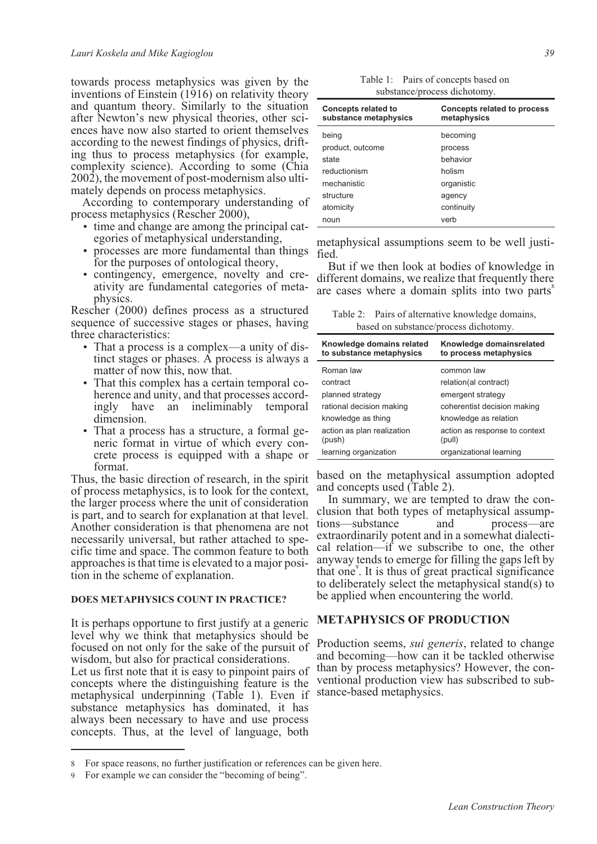towards process metaphysics was given by the inventions of Einstein (1916) on relativity theory and quantum theory. Similarly to the situation after Newton's new physical theories, other sciences have now also started to orient themselves according to the newest findings of physics, drift- ing thus to process metaphysics (for example, complexity science). According to some (Chia 2002), the movement of post-modernism also ulti- mately depends on process metaphysics.

According to contemporary understanding of process metaphysics (Rescher 2000),

- time and change are among the principal cat- egories of metaphysical understanding,
- processes are more fundamental than things for the purposes of ontological theory,
- contingency, emergence, novelty and cre- ativity are fundamental categories of meta- physics.

Rescher (2000) defines process as a structured sequence of successive stages or phases, having three characteristics:

- That a process is a complex—a unity of distinct stages or phases. A process is always a matter of now this, now that.
- That this complex has a certain temporal coherence and unity, and that processes accordingly have an ineliminably temporal dimension.
- That a process has a structure, a formal generic format in virtue of which every concrete process is equipped with a shape or format.

Thus, the basic direction of research, in the spirit of process metaphysics, is to look for the context, the larger process where the unit of consideration is part, and to search for explanation at that level. Another consideration is that phenomena are not necessarily universal, but rather attached to specific time and space. The common feature to both approaches is that time is elevated to a major position in the scheme of explanation.

#### **DOES METAPHYSICS COUNT IN PRACTICE?**

It is perhaps opportune to first justify at a generic level why we think that metaphysics should be focused on not only for the sake of the pursuit of wisdom, but also for practical considerations. Let us first note that it is easy to pinpoint pairs of

concepts where the distinguishing feature is the metaphysical underpinning (Table 1). Even if substance metaphysics has dominated, it has always been necessary to have and use process concepts. Thus, at the level of language, both

| Table 1: Pairs of concepts based on |
|-------------------------------------|
| substance/process dichotomy.        |

| <b>Concepts related to</b><br>substance metaphysics | <b>Concepts related to process</b><br>metaphysics |
|-----------------------------------------------------|---------------------------------------------------|
| being                                               | becoming                                          |
| product, outcome                                    | process                                           |
| state                                               | hehavior                                          |
| reductionism                                        | holism                                            |
| mechanistic                                         | organistic                                        |
| structure                                           | agency                                            |
| atomicity                                           | continuity                                        |
| noun                                                | verb                                              |

metaphysical assumptions seem to be well justi- fied.

But if we then look at bodies of knowledge in different domains, we realize that frequently there are cases where a domain splits into two parts<sup>8</sup>

Table 2: Pairs of alternative knowledge domains, based on substance/process dichotomy.

| Knowledge domains related<br>to substance metaphysics | Knowledge domainsrelated<br>to process metaphysics |
|-------------------------------------------------------|----------------------------------------------------|
| Roman law                                             | common law                                         |
| contract                                              | relation(al contract)                              |
| planned strategy                                      | emergent strategy                                  |
| rational decision making                              | coherentist decision making                        |
| knowledge as thing                                    | knowledge as relation                              |
| action as plan realization<br>(push)                  | action as response to context<br>(pull)            |
| learning organization                                 | organizational learning                            |

based on the metaphysical assumption adopted and concepts used (Table 2).

In summary, we are tempted to draw the conclusion that both types of metaphysical assumptions—substance and process—are extraordinarily potent and in a somewhat dialectical relation—if we subscribe to one, the other anyway tends to emerge for filling the gaps left by that one<sup>9</sup>. It is thus of great practical significance to deliberately select the metaphysical stand(s) to be applied when encountering the world.

# **METAPHYSICS OF PRODUCTION**

Production seems, *sui generis*, related to change and becoming—how can it be tackled otherwise than by process metaphysics? However, the conventional production view has subscribed to substance-based metaphysics.

<sup>8</sup> For space reasons, no further justification or references can be given here.

For example we can consider the "becoming of being".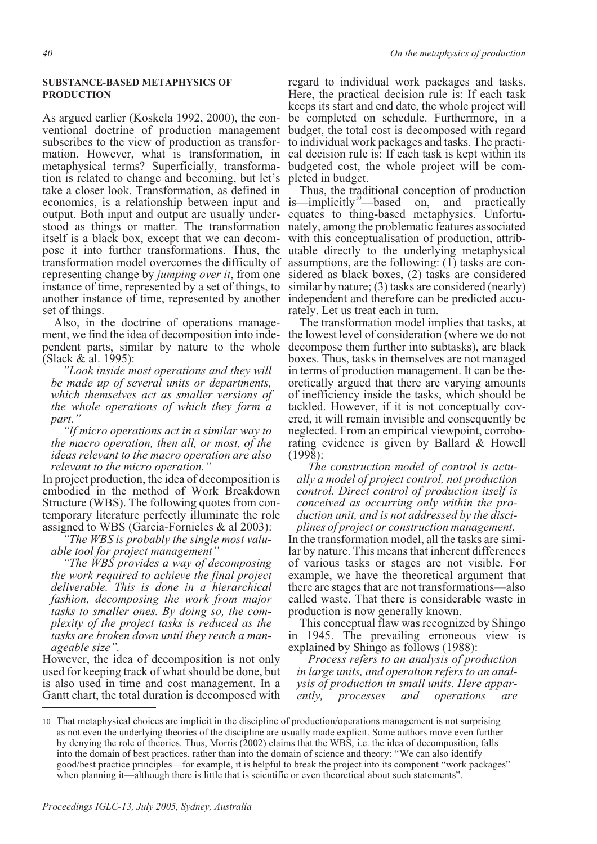### **SUBSTANCE-BASED METAPHYSICS OF PRODUCTION**

As argued earlier (Koskela 1992, 2000), the conventional doctrine of production management subscribes to the view of production as transformation. However, what is transformation, in metaphysical terms? Superficially, transformation is related to change and becoming, but let's take a closer look. Transformation, as defined in economics, is a relationship between input and is—implicitly<sup>10</sup>—based on, and practically output. Both input and output are usually under- equates to thing-based metaphysics. Unfortu-<br>stood as things or matter. The transformation nately, among the problematic features associated itself is a black box, except that we can decom- pose it into further transformations. Thus, the transformation model overcomes the difficulty of representing change by *jumping over it*, from one instance of time, represented by a set of things, to another instance of time, represented by another independent and therefore can be predicted accu- rately. Let us treat each in turn. set of things.<br>Also, in the doctrine of operations manage-

ment, we find the idea of decomposition into inde-<br>pendent parts, similar by nature to the whole (Slack & al. 1995):

*"Look inside most operations and they will be made up of several units or departments, which themselves act as smaller versions of the whole operations of which they form a part."*

*"If micro operations act in a similar way to the macro operation, then all, or most, of the ideas relevant to the macro operation are also relevant to the micro operation."*

In project production, the idea of decomposition is embodied in the method of Work Breakdown Structure (WBS). The following quotes from contemporary literature perfectly illuminate the role assigned to WBS (Garcia-Fornieles & al 2003):

*"The WBS is probably the single most valuable tool for project management"*

*"The WBS provides a way of decomposing the work required to achieve the final project deliverable. This is done in a hierarchical fashion, decomposing the work from major tasks to smaller ones. By doing so, the complexity of the project tasks is reduced as the tasks are broken down until they reach a manageable size".*

However, the idea of decomposition is not only used for keeping track of what should be done, but is also used in time and cost management. In a Gantt chart, the total duration is decomposed with

regard to individual work packages and tasks. Here, the practical decision rule is: If each task keeps its start and end date, the whole project will be completed on schedule. Furthermore, in a budget, the total cost is decomposed with regard to individual work packages and tasks. The practi- cal decision rule is: If each task is kept within its budgeted cost, the whole project will be com- pleted in budget.

Thus, the traditional conception of production<br>  $-\text{implicitly}^{\text{10}}$  based on, and practically with this conceptualisation of production, attrib- utable directly to the underlying metaphysical assumptions, are the following: (1) tasks are con- sidered as black boxes, (2) tasks are considered similar by nature; (3) tasks are considered (nearly)

The transformation model implies that tasks, at the lowest level of consideration (where we do not decompose them further into subtasks), are black boxes. Thus, tasks in themselves are not managed in terms of production management. It can be theoretically argued that there are varying amounts of inefficiency inside the tasks, which should be tackled. However, if it is not conceptually covered, it will remain invisible and consequently be neglected. From an empirical viewpoint, corroborating evidence is given by Ballard & Howell (1998):

*The construction model of control is actually a model of project control, not production control. Direct control of production itself is conceived as occurring only within the production unit, and is not addressed by the disciplines of project or construction management.*

In the transformation model, all the tasks are similar by nature. This means that inherent differences of various tasks or stages are not visible. For example, we have the theoretical argument that there are stages that are not transformations—also called waste. That there is considerable waste in production is now generally known.

This conceptual flaw was recognized by Shingo in 1945. The prevailing erroneous view is explained by Shingo as follows (1988):

*Process refers to an analysis of production in large units, and operation refers to an analysis of production in small units. Here apparently, processes and operations are*

<sup>10</sup> That metaphysical choices are implicit in the discipline of production/operations management is not surprising as not even the underlying theories of the discipline are usually made explicit. Some authors move even further by denying the role of theories. Thus, Morris (2002) claims that the WBS, i.e. the idea of decomposition, falls into the domain of best practices, rather than into the domain of science and theory: "We can also identify good/best practice principles—for example, it is helpful to break the project into its component "work packages" when planning it—although there is little that is scientific or even theoretical about such statements".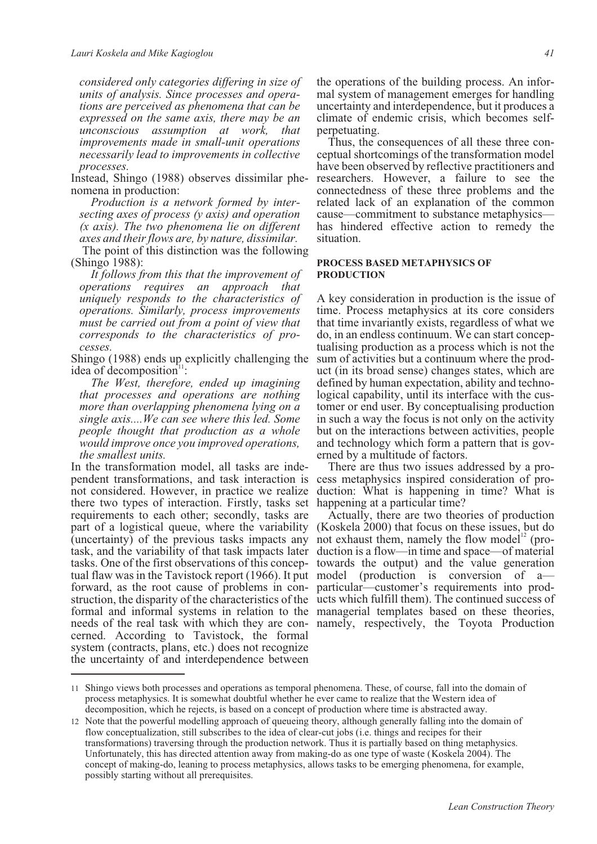*considered only categories differing in size of units of analysis. Since processes and opera- tions are perceived as phenomena that can be expressed on the same axis, there may be an unconscious assumption at work, that improvements made in small-unit operations necessarily lead to improvements in collective processes.*

Instead, Shingo (1988) observes dissimilar phe-<br>nomena in production:<br>*Production is a network formed by inter-*

*Production is a a secting axes of process (y axis) and operation (x axis). The two phenomena lie on different axes and their flows are, by nature, dissimilar.*

The point of this distinction was the following (Shingo 1988):

*It follows from this that the improvement of operations requires an approach that uniquely responds to the characteristics of operations. Similarly, process improvements must be carried out from a point of view that corresponds to the characteristics of pro- cesses.*

Shingo (1988) ends up explicitly challenging the idea of decomposition<sup>11</sup> :

*The West, therefore, ended up imagining that processes and operations are nothing more than overlapping phenomena lying on a single axis....We can see where this led. Some people thought that production as a whole would improve once you improved operations, the smallest units.*

In the transformation model, all tasks are independent transformations, and task interaction is there two types of interaction. Firstly, tasks set requirements to each other; secondly, tasks are part of a logistical queue, where the variability (uncertainty) of the previous tasks impacts any not exhaust them, namely the flow model<sup>12</sup> (protask, and the variability of that task impacts later duction is a flow—in time and space—of material tasks. One of the first observations of this concep-towards the output) and the value generation tual flaw was in the Tavistock report (1966). It put model (production is conversion of a forward, as the root cause of problems in con- particular—customer's requirements into prodstruction, the disparity of the characteristics of the ucts which fulfill them). The continued success of formal and informal systems in relation to the managerial templates based on these theories, needs of the real task with which they are con-namely, respectively, the Toyota Production cerned. According to Tavistock, the formal system (contracts, plans, etc.) does not recognize the uncertainty of and interdependence between

the operations of the building process. An infor- mal system of management emerges for handling uncertainty and interdependence, but it produces a climate of endemic crisis, which becomes selfperpetuating.

Thus, the consequences of all these three con- ceptual shortcomings of the transformation model have been observed by reflective practitioners and researchers. However, a failure to see the connectedness of these three problems and the related lack of an explanation of the common cause—commitment to substance metaphysics has hindered effective action to remedy the situation.

#### **PROCESS BASED METAPHYSICS OF PRODUCTION**

A key consideration in production is the issue of time. Process metaphysics at its core considers that time invariantly exists, regardless of what we tualising production as a process which is not the sum of activities but a continuum where the product (in its broad sense) changes states, which are defined by human expectation, ability and technological capability, until its interface with the customer or end user. By conceptualising production in such a way the focus is not only on the activity but on the interactions between activities, people and technology which form a pattern that is governed by a multitude of factors.

not considered. However, in practice we realize duction: What is happening in time? What is There are thus two issues addressed by a process metaphysics inspired consideration of prohappening at a particular time?

> Actually, there are two theories of production (Koskela 2000) that focus on these issues, but do

<sup>11</sup> Shingo views both processes and operations as temporal phenomena. These, of course, fall into the domain of process metaphysics. It is somewhat doubtful whether he ever came to realize that the Western idea of decomposition, which he rejects, is based on a concept of production where time is abstracted away.

<sup>12</sup> Note that the powerful modelling approach of queueing theory, although generally falling into the domain of flow conceptualization, still subscribes to the idea of clear-cut jobs (i.e. things and recipes for their transformations) traversing through the production network. Thus it is partially based on thing metaphysics. Unfortunately, this has directed attention away from making-do as one type of waste (Koskela 2004). The concept of making-do, leaning to process metaphysics, allows tasks to be emerging phenomena, for example, possibly starting without all prerequisites.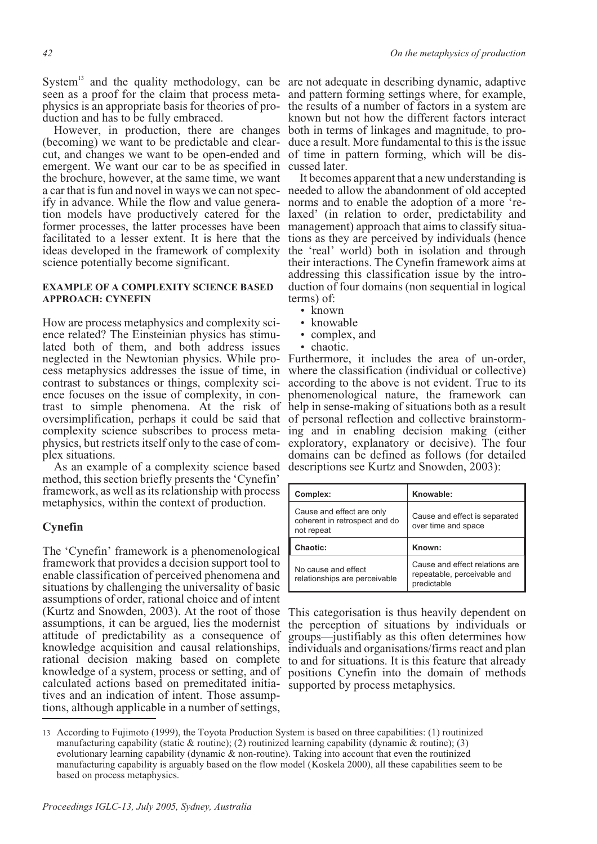System<sup>13</sup> and the quality methodology, can be are not adequate in describing dynamic, adaptive seen as a proof for the claim that process meta-<br>physics is an appropriate basis for theories of pro-<br>duction and has to be fully embraced. seen as a proof for the claim that process meta- and pattern forming settings where, for example,

(becoming) we want to be predictable and clearcut, and changes we want to be open-ended and emergent. We want our car to be as specified in the brochure, however, at the same time, we want a car that is fun and novel in ways we can not spec- needed to allow the abandonment of old accepted<br>ify in advance. While the flow and value genera- norms and to enable the adoption of a more 're-<br>tion models have product former processes, the latter processes have been management) approach that aims to classify situaformer processes, the latter processes have been management) approach that aims to classify situa-<br>facilitated to a lesser extent. It is here that the tions as they are perceived by individuals (hence ideas developed in the framework of complexity science potentially become significant. a car that is fun and novel in ways we can not spec- needed to allow the abandonment of old accepted<br>ify in advance. While the flow and value genera- norms and to enable the adoption of a more 're-

#### **EXAMPLE OF A COMPLEXITY SCIENCE BASED APPROACH: CYNEFIN**

How are process metaphysics and complexity sci-<br>ence related? The Einsteinian physics has stimu-<br>lated both of them, and both address issues neglected in the Newtonian physics. While process metaphysics addresses the issue of time, in contrast to substances or things, complexity science focuses on the issue of complexity, in contrast to simple phenomena. At the risk of help in sense-making of situations both as a result oversimplification, perhaps it could be said that complexity science subscribes to process metaphysics, but restricts itself only to the case of complex situations.

As an example of a complexity science based method, this section briefly presents the 'Cynefin' framework, as well as its relationship with process metaphysics, within the context of production.

# **Cynefin**

The 'Cynefin' framework is a phenomenological framework that provides a decision support tool to enable classification of perceived phenomena and situations by challenging the universality of basic assumptions of order, rational choice and of intent (Kurtz and Snowden, 2003). At the root of those assumptions, it can be argued, lies the modernist attitude of predictability as a consequence of knowledge acquisition and causal relationships, rational decision making based on complete knowledge of a system, process or setting, and of calculated actions based on premeditated initia-supported by process metaphysics. tives and an indication of intent. Those assumptions, although applicable in a number of settings,

However, in production, there are changes both in terms of linkages and magnitude, to prothe results of a number of factors in a system are known but not how the different factors interact duce a result. More fundamental to this is the issue of time in pattern forming, which will be dis- cussed later.

> It becomes apparent that a new understanding is the 'real' world) both in isolation and through their interactions. The Cynefin framework aims at addressing this classification issue by the intro- duction of four domains (non sequential in logical terms) of:

- known
- knowable
- complex, and
- chaotic.

Furthermore, it includes the area of un-order, where the classification (individual or collective) according to the above is not evident. True to its phenomenological nature, the framework can of personal reflection and collective brainstorming and in enabling decision making (either exploratory, explanatory or decisive). The four domains can be defined as follows (for detailed descriptions see Kurtz and Snowden, 2003):

| Complex:                                                                 | Knowable:                                            |
|--------------------------------------------------------------------------|------------------------------------------------------|
| Cause and effect are only<br>coherent in retrospect and do<br>not repeat | Cause and effect is separated<br>over time and space |
|                                                                          |                                                      |
| Chaotic:                                                                 | Known:                                               |

This categorisation is thus heavily dependent on the perception of situations by individuals or groups—justifiably as this often determines how individuals and organisations/firms react and plan to and for situations. It is this feature that already positions Cynefin into the domain of methods

<sup>13</sup> According to Fujimoto (1999), the Toyota Production System is based on three capabilities: (1) routinized manufacturing capability (static & routine); (2) routinized learning capability (dynamic & routine); (3) evolutionary learning capability (dynamic & non-routine). Taking into account that even the routinized manufacturing capability is arguably based on the flow model (Koskela 2000), all these capabilities seem to be based on process metaphysics.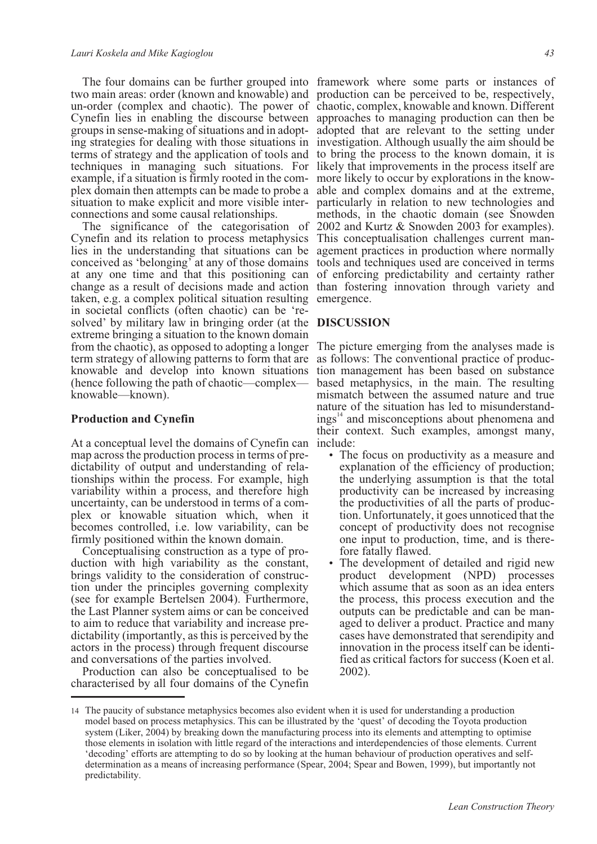situation to make explicit and more visible inter- connections and some causal relationships.

taken, e.g. a complex political situation resulting emergence. in societal conflicts (often chaotic) can be 're- solved' by military law in bringing order (at the **DISCUSSION** extreme bringing a situation to the known domain from the chaotic), as opposed to adopting a longer The picture emerging from the analyses made is knowable and develop into known situations (hence following the path of chaotic—complex knowable—known).

#### **Production and Cynefin**

At a conceptual level the domains of Cynefin can include: map across the production process in terms of predictability of output and understanding of relationships within the process. For example, high variability within a process, and therefore high uncertainty, can be understood in terms of a complex or knowable situation which, when it becomes controlled, i.e. low variability, can be firmly positioned within the known domain.

Conceptualising construction as a type of production with high variability as the constant, brings validity to the consideration of construction under the principles governing complexity (see for example Bertelsen 2004). Furthermore, the Last Planner system aims or can be conceived to aim to reduce that variability and increase predictability (importantly, as this is perceived by the actors in the process) through frequent discourse and conversations of the parties involved.

Production can also be conceptualised to be characterised by all four domains of the Cynefin

The four domains can be further grouped into framework where some parts or instances of two main areas: order (known and knowable) and production can be perceived to be, respectively, un-order (complex and chaotic). The power of chaotic, complex, knowable and known. Different Cynefin lies in enabling the discourse between approaches to managing production can then be groups in sense-making of situations and in adopt- adopted that are relevant to the setting under<br>ing strategies for dealing with those situations in investigation. Although usually the aim should be terms of strategy and the application of tools and to bring the process to the known domain, it is techniques in managing such situations. For likely that improvements in the process itself are example, if a situation is firmly rooted in the com- more likely to occur by explorations in the know-<br>plex domain then attempts can be made to probe a able and complex domains and at the extreme, The significance of the categorisation of 2002 and Kurtz & Snowden 2003 for examples). Cynefin and its relation to process metaphysics. This conceptualization challenges current man-Cynefin and its relation to process metaphysics This conceptualisation challenges current man-<br>Ilies in the understanding that situations can be agement practices in production where normally conceived as 'belonging' at any of those domains tools and techniques used are conceived in terms at any one time and that this positioning can of enforcing predictability and certainty rather change as a result of decisions made and action than fostering innovation through variety and groups in sense-making of situations and in adopt- adopted that are relevant to the setting under particularly in relation to new technologies and methods, in the chaotic domain (see Snowden

term strategy of allowing patterns to form that are as follows: The conventional practice of production management has been based on substance based metaphysics, in the main. The resulting mismatch between the assumed nature and true nature of the situation has led to misunderstandings<sup>14</sup> and misconceptions about phenomena and their context. Such examples, amongst many,

- The focus on productivity as a measure and explanation of the efficiency of production; the underlying assumption is that the total productivity can be increased by increasing the productivities of all the parts of production. Unfortunately, it goes unnoticed that the concept of productivity does not recognise one input to production, time, and is therefore fatally flawed.
- The development of detailed and rigid new product development (NPD) processes which assume that as soon as an idea enters the process, this process execution and the outputs can be predictable and can be managed to deliver a product. Practice and many cases have demonstrated that serendipity and innovation in the process itself can be identified as critical factors for success (Koen et al. 2002).

<sup>14</sup> The paucity of substance metaphysics becomes also evident when it is used for understanding a production model based on process metaphysics. This can be illustrated by the 'quest' of decoding the Toyota production system (Liker, 2004) by breaking down the manufacturing process into its elements and attempting to optimise those elements in isolation with little regard of the interactions and interdependencies of those elements. Current 'decoding' efforts are attempting to do so by looking at the human behaviour of production operatives and selfdetermination as a means of increasing performance (Spear, 2004; Spear and Bowen, 1999), but importantly not predictability.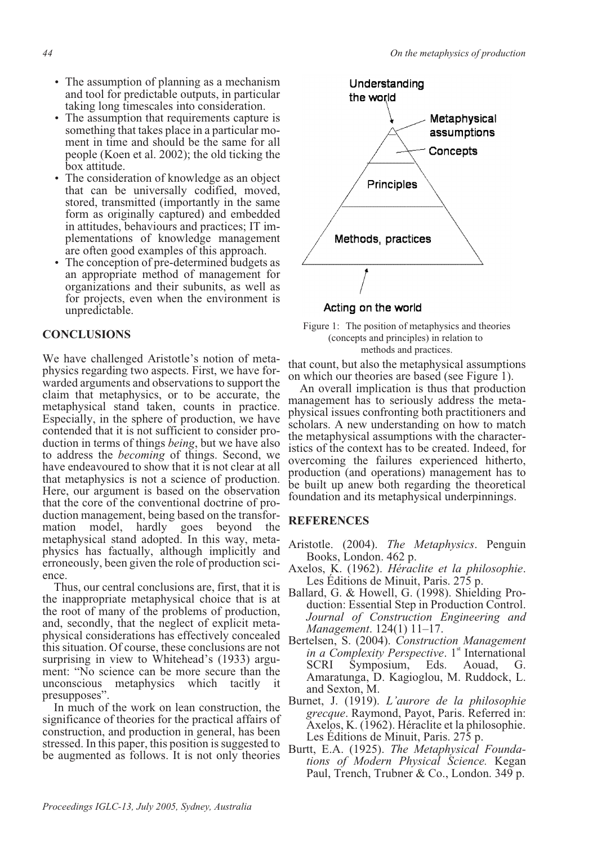- The assumption of planning as a mechanism and tool for predictable outputs, in particular taking long timescales into consideration.
- The assumption that requirements capture is something that takes place in a particular moment in time and should be the same for all people (Koen et al. 2002); the old ticking the box attitude.
- The consideration of knowledge as an object that can be universally codified, moved, stored, transmitted (importantly in the same form as originally captured) and embedded<br>in attitudes, behaviours and practices: IT implementations of knowledge management are often good examples of this approach.
- The conception of pre-determined budgets as an appropriate method of management for organizations and their subunits, as well as for projects, even when the environment is unpredictable.

# **CONCLUSIONS**

We have challenged Aristotle's notion of metaphysics regarding two aspects. First, we have forwarded arguments and observations to support the claim that metaphysics, or to be accurate, the metaphysical stand taken, counts in practice. Especially, in the sphere of production, we have contended that it is not sufficient to consider production in terms of things *being*, but we have also to address the *becoming* of things. Second, we have endeavoured to show that it is not clear at all that metaphysics is not a science of production. Here, our argument is based on the observation that the core of the conventional doctrine of production management, being based on the transformation model, hardly goes beyond the metaphysical stand adopted. In this way, metaphysics has factually, although implicitly and erroneously, been given the role of production science.

Thus, our central conclusions are, first, that it is the inappropriate metaphysical choice that is at the root of many of the problems of production, and, secondly, that the neglect of explicit metaphysical considerations has effectively concealed this situation. Of course, these conclusions are not surprising in view to Whitehead's (1933) argument: "No science can be more secure than the unconscious metaphysics which tacitly it presupposes".

In much of the work on lean construction, the significance of theories for the practical affairs of construction, and production in general, has been stressed. In this paper, this position is suggested to be augmented as follows. It is not only theories



Acting on the world



that count, but also the metaphysical assumptions on which our theories are based (see Figure 1).

An overall implication is thus that production management has to seriously address the metaphysical issues confronting both practitioners and scholars. A new understanding on how to match the metaphysical assumptions with the characteristics of the context has to be created. Indeed, for overcoming the failures experienced hitherto, production (and operations) management has to be built up anew both regarding the theoretical foundation and its metaphysical underpinnings.

# **REFERENCES**

- Aristotle. (2004). *The Metaphysics*. Penguin Books, London. 462 p.
- Axelos, K. (1962). *Héraclite et la philosophie*. Les Éditions de Minuit, Paris. 275 p.
- Ballard, G. & Howell, G. (1998). Shielding Production: Essential Step in Production Control. *Journal of Construction Engineering and Management*. 124(1) 11–17.
- Bertelsen, S. (2004). *Construction Management in a Complexity Perspective*. 1<sup>st</sup> International SCRI Symposium, Eds. Aouad, G. Amaratunga, D. Kagioglou, M. Ruddock, L. and Sexton, M.
- Burnet, J. (1919). *L'aurore de la philosophie grecque*. Raymond, Payot, Paris. Referred in: Axelos, K. (1962). Héraclite et la philosophie. Les Éditions de Minuit, Paris. 275 p.
- Burtt, E.A. (1925). *The Metaphysical Foundations of Modern Physical Science.* Kegan Paul, Trench, Trubner & Co., London. 349 p.